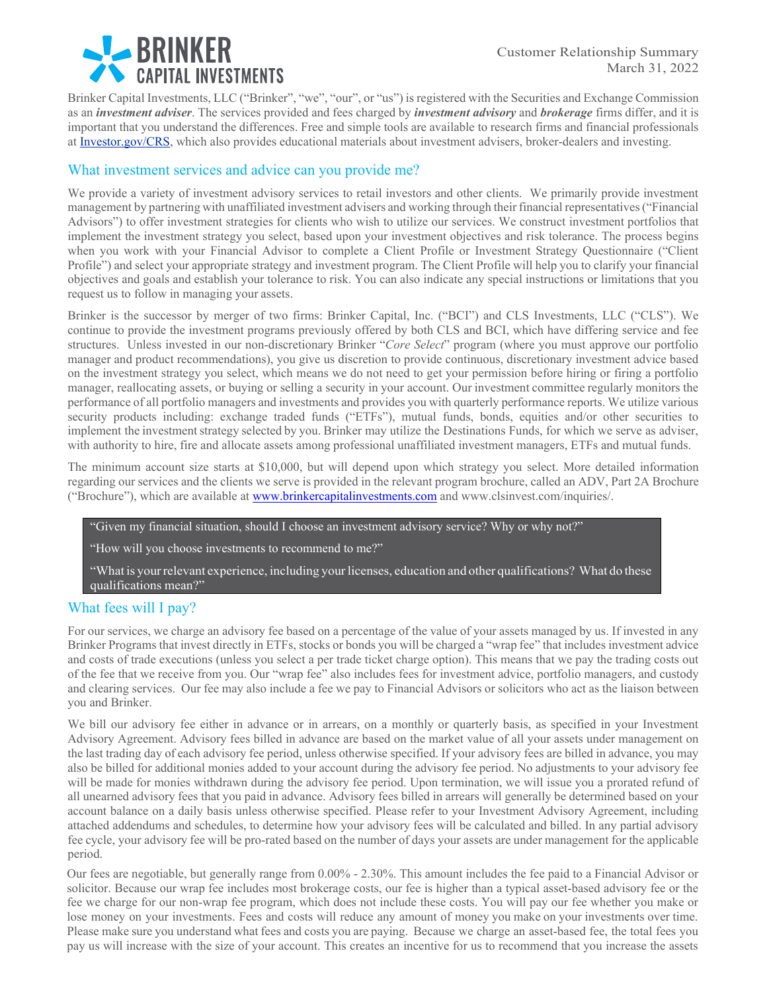

Brinker Capital Investments, LLC ("Brinker", "we", "our", or "us") is registered with the Securities and Exchange Commission as an *investment adviser*. The services provided and fees charged by *investment advisory* and *brokerage* firms differ, and it is important that you understand the differences. Free and simple tools are available to research firms and financial professionals at Investor.gov/CRS, which also provides educational materials about investment advisers, broker-dealers and investing.

# What investment services and advice can you provide me?

We provide a variety of investment advisory services to retail investors and other clients. We primarily provide investment management by partnering with unaffiliated investment advisers and working through their financial representatives ("Financial Advisors") to offer investment strategies for clients who wish to utilize our services. We construct investment portfolios that implement the investment strategy you select, based upon your investment objectives and risk tolerance. The process begins when you work with your Financial Advisor to complete a Client Profile or Investment Strategy Questionnaire ("Client Profile") and select your appropriate strategy and investment program. The Client Profile will help you to clarify your financial objectives and goals and establish your tolerance to risk. You can also indicate any special instructions or limitations that you request us to follow in managing your assets.

Brinker is the successor by merger of two firms: Brinker Capital, Inc. ("BCI") and CLS Investments, LLC ("CLS"). We continue to provide the investment programs previously offered by both CLS and BCI, which have differing service and fee structures. Unless invested in our non-discretionary Brinker "*Core Select*" program (where you must approve our portfolio manager and product recommendations), you give us discretion to provide continuous, discretionary investment advice based on the investment strategy you select, which means we do not need to get your permission before hiring or firing a portfolio manager, reallocating assets, or buying or selling a security in your account. Our investment committee regularly monitors the performance of all portfolio managers and investments and provides you with quarterly performance reports. We utilize various security products including: exchange traded funds ("ETFs"), mutual funds, bonds, equities and/or other securities to implement the investment strategy selected by you. Brinker may utilize the Destinations Funds, for which we serve as adviser, with authority to hire, fire and allocate assets among professional unaffiliated investment managers, ETFs and mutual funds.

The minimum account size starts at \$10,000, but will depend upon which strategy you select. More detailed information regarding our services and the clients we serve is provided in the relevant program brochure, called an ADV, Part 2A Brochure ("Brochure"), which are available at www.brinkercapitalinvestments.com and www.clsinvest.com/inquiries/.

"Given my financial situation, should I choose an investment advisory service? Why or why not?"

"How will you choose investments to recommend to me?"

"What is your relevant experience, including your licenses, education and other qualifications? What do these qualifications mean?"

## What fees will I pay?

For our services, we charge an advisory fee based on a percentage of the value of your assets managed by us. If invested in any Brinker Programs that invest directly in ETFs, stocks or bonds you will be charged a "wrap fee" that includes investment advice and costs of trade executions (unless you select a per trade ticket charge option). This means that we pay the trading costs out of the fee that we receive from you. Our "wrap fee" also includes fees for investment advice, portfolio managers, and custody and clearing services. Our fee may also include a fee we pay to Financial Advisors or solicitors who act as the liaison between you and Brinker.

We bill our advisory fee either in advance or in arrears, on a monthly or quarterly basis, as specified in your Investment Advisory Agreement. Advisory fees billed in advance are based on the market value of all your assets under management on the last trading day of each advisory fee period, unless otherwise specified. If your advisory fees are billed in advance, you may also be billed for additional monies added to your account during the advisory fee period. No adjustments to your advisory fee will be made for monies withdrawn during the advisory fee period. Upon termination, we will issue you a prorated refund of all unearned advisory fees that you paid in advance. Advisory fees billed in arrears will generally be determined based on your account balance on a daily basis unless otherwise specified. Please refer to your Investment Advisory Agreement, including attached addendums and schedules, to determine how your advisory fees will be calculated and billed. In any partial advisory fee cycle, your advisory fee will be pro-rated based on the number of days your assets are under management for the applicable period.

Our fees are negotiable, but generally range from 0.00% - 2.30%. This amount includes the fee paid to a Financial Advisor or solicitor. Because our wrap fee includes most brokerage costs, our fee is higher than a typical asset-based advisory fee or the fee we charge for our non-wrap fee program, which does not include these costs. You will pay our fee whether you make or lose money on your investments. Fees and costs will reduce any amount of money you make on your investments over time. Please make sure you understand what fees and costs you are paying. Because we charge an asset-based fee, the total fees you pay us will increase with the size of your account. This creates an incentive for us to recommend that you increase the assets